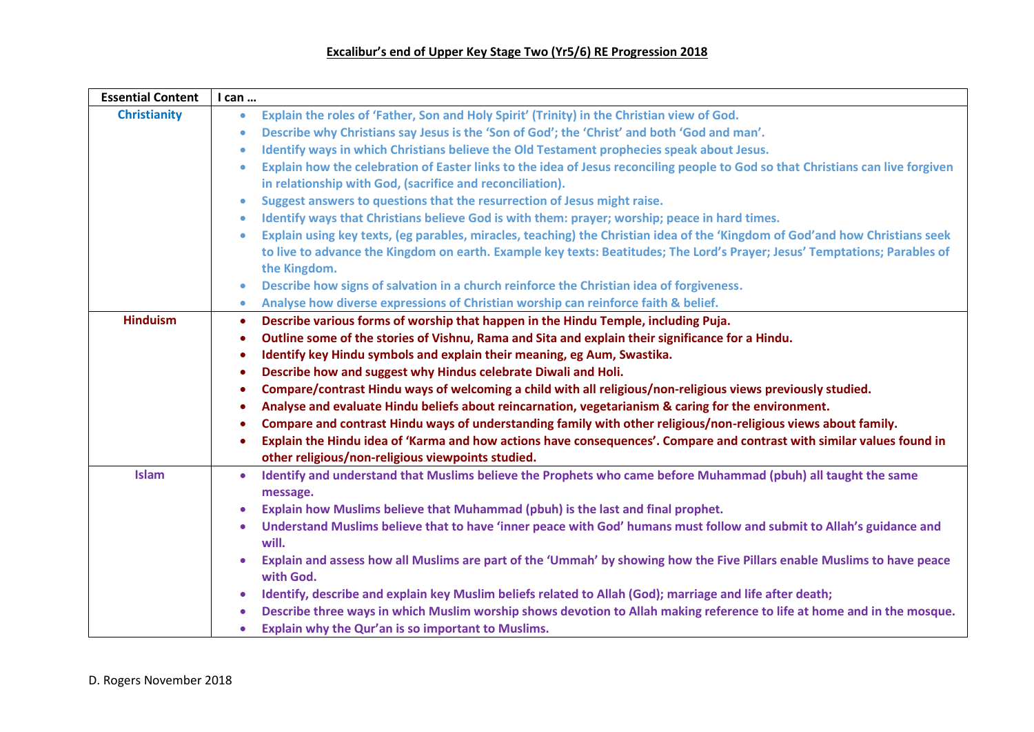## **Excalibur's end of Upper Key Stage Two (Yr5/6) RE Progression 2018**

| <b>Essential Content</b> | I can                                                                                                                                        |
|--------------------------|----------------------------------------------------------------------------------------------------------------------------------------------|
| <b>Christianity</b>      | Explain the roles of 'Father, Son and Holy Spirit' (Trinity) in the Christian view of God.<br>$\bullet$                                      |
|                          | Describe why Christians say Jesus is the 'Son of God'; the 'Christ' and both 'God and man'.<br>$\bullet$                                     |
|                          | Identify ways in which Christians believe the Old Testament prophecies speak about Jesus.<br>$\bullet$                                       |
|                          | Explain how the celebration of Easter links to the idea of Jesus reconciling people to God so that Christians can live forgiven<br>$\bullet$ |
|                          | in relationship with God, (sacrifice and reconciliation).                                                                                    |
|                          | Suggest answers to questions that the resurrection of Jesus might raise.<br>$\bullet$                                                        |
|                          | Identify ways that Christians believe God is with them: prayer; worship; peace in hard times.<br>$\bullet$                                   |
|                          | Explain using key texts, (eg parables, miracles, teaching) the Christian idea of the 'Kingdom of God'and how Christians seek<br>$\bullet$    |
|                          | to live to advance the Kingdom on earth. Example key texts: Beatitudes; The Lord's Prayer; Jesus' Temptations; Parables of                   |
|                          | the Kingdom.                                                                                                                                 |
|                          | Describe how signs of salvation in a church reinforce the Christian idea of forgiveness.<br>$\bullet$                                        |
|                          | Analyse how diverse expressions of Christian worship can reinforce faith & belief.<br>$\bullet$                                              |
| <b>Hinduism</b>          | Describe various forms of worship that happen in the Hindu Temple, including Puja.<br>$\bullet$                                              |
|                          | Outline some of the stories of Vishnu, Rama and Sita and explain their significance for a Hindu.<br>$\bullet$                                |
|                          | Identify key Hindu symbols and explain their meaning, eg Aum, Swastika.<br>$\bullet$                                                         |
|                          | Describe how and suggest why Hindus celebrate Diwali and Holi.<br>$\bullet$                                                                  |
|                          | Compare/contrast Hindu ways of welcoming a child with all religious/non-religious views previously studied.<br>$\bullet$                     |
|                          | Analyse and evaluate Hindu beliefs about reincarnation, vegetarianism & caring for the environment.<br>$\bullet$                             |
|                          | Compare and contrast Hindu ways of understanding family with other religious/non-religious views about family.<br>$\bullet$                  |
|                          | Explain the Hindu idea of 'Karma and how actions have consequences'. Compare and contrast with similar values found in<br>$\bullet$          |
|                          | other religious/non-religious viewpoints studied.                                                                                            |
| <b>Islam</b>             | Identify and understand that Muslims believe the Prophets who came before Muhammad (pbuh) all taught the same<br>$\bullet$                   |
|                          | message.                                                                                                                                     |
|                          | Explain how Muslims believe that Muhammad (pbuh) is the last and final prophet.                                                              |
|                          | Understand Muslims believe that to have 'inner peace with God' humans must follow and submit to Allah's guidance and<br>$\bullet$            |
|                          | will.                                                                                                                                        |
|                          | Explain and assess how all Muslims are part of the 'Ummah' by showing how the Five Pillars enable Muslims to have peace<br>with God.         |
|                          | Identify, describe and explain key Muslim beliefs related to Allah (God); marriage and life after death;<br>$\bullet$                        |
|                          | Describe three ways in which Muslim worship shows devotion to Allah making reference to life at home and in the mosque.                      |
|                          | Explain why the Qur'an is so important to Muslims.<br>$\bullet$                                                                              |